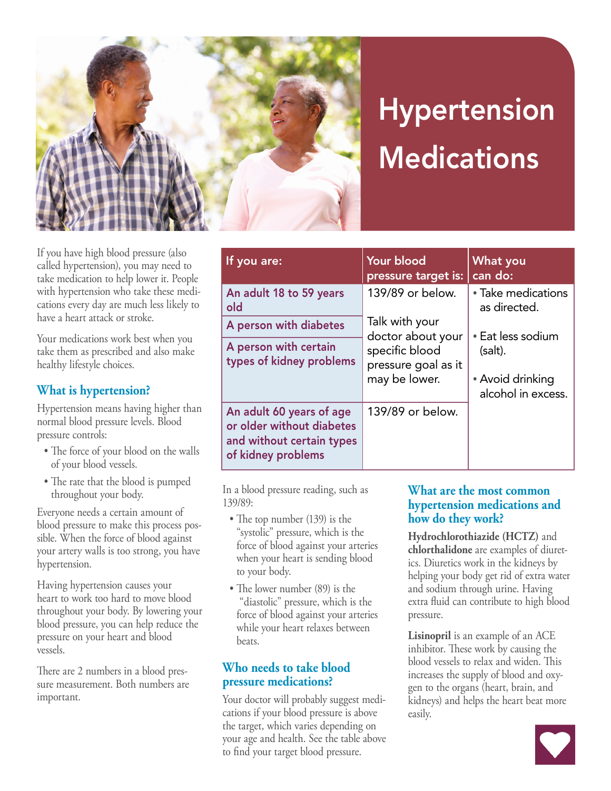

# Hypertension **Medications**

If you have high blood pressure (also called hypertension), you may need to take medication to help lower it. People with hypertension who take these medications every day are much less likely to have a heart attack or stroke.

Your medications work best when you take them as prescribed and also make healthy lifestyle choices.

#### **What is hypertension?**

Hypertension means having higher than normal blood pressure levels. Blood pressure controls:

- The force of your blood on the walls of your blood vessels.
- The rate that the blood is pumped throughout your body.

Everyone needs a certain amount of blood pressure to make this process possible. When the force of blood against your artery walls is too strong, you have hypertension.

Having hypertension causes your heart to work too hard to move blood throughout your body. By lowering your blood pressure, you can help reduce the pressure on your heart and blood vessels.

There are 2 numbers in a blood pressure measurement. Both numbers are important.

| If you are:                                                                                              | Your blood<br>pressure target is:                                                                                 | <b>What you</b><br>can do:                                             |
|----------------------------------------------------------------------------------------------------------|-------------------------------------------------------------------------------------------------------------------|------------------------------------------------------------------------|
| An adult 18 to 59 years<br>old                                                                           | 139/89 or below.<br>Talk with your<br>doctor about your<br>specific blood<br>pressure goal as it<br>may be lower. | • Take medications<br>as directed.                                     |
| A person with diabetes                                                                                   |                                                                                                                   | • Eat less sodium<br>(salt).<br>• Avoid drinking<br>alcohol in excess. |
| A person with certain<br>types of kidney problems                                                        |                                                                                                                   |                                                                        |
| An adult 60 years of age<br>or older without diabetes<br>and without certain types<br>of kidney problems | 139/89 or below.                                                                                                  |                                                                        |

In a blood pressure reading, such as 139/89:

- The top number (139) is the "systolic" pressure, which is the force of blood against your arteries when your heart is sending blood to your body.
- The lower number (89) is the "diastolic" pressure, which is the force of blood against your arteries while your heart relaxes between beats.

#### **Who needs to take blood pressure medications?**

Your doctor will probably suggest medications if your blood pressure is above the target, which varies depending on your age and health. See the table above to find your target blood pressure.

#### **What are the most common hypertension medications and how do they work?**

**Hydrochlorothiazide (HCTZ)** and **chlorthalidone** are examples of diuretics. Diuretics work in the kidneys by helping your body get rid of extra water and sodium through urine. Having extra fluid can contribute to high blood pressure.

**Lisinopril** is an example of an ACE inhibitor. These work by causing the blood vessels to relax and widen. This increases the supply of blood and oxygen to the organs (heart, brain, and kidneys) and helps the heart beat more easily.